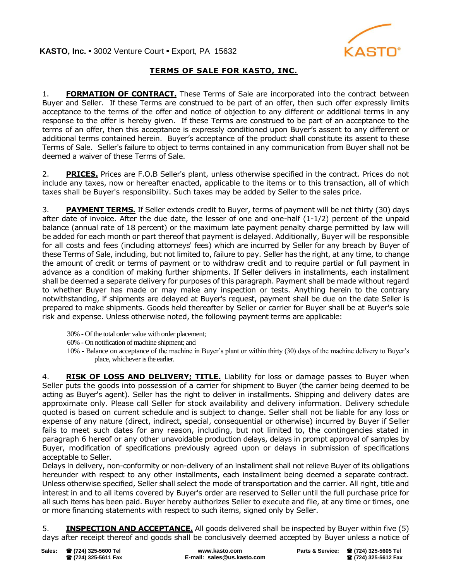

## **TERMS OF SALE FOR KASTO, INC.**

1. **FORMATION OF CONTRACT.** These Terms of Sale are incorporated into the contract between Buyer and Seller. If these Terms are construed to be part of an offer, then such offer expressly limits acceptance to the terms of the offer and notice of objection to any different or additional terms in any response to the offer is hereby given. If these Terms are construed to be part of an acceptance to the terms of an offer, then this acceptance is expressly conditioned upon Buyer's assent to any different or additional terms contained herein. Buyer's acceptance of the product shall constitute its assent to these Terms of Sale. Seller's failure to object to terms contained in any communication from Buyer shall not be deemed a waiver of these Terms of Sale.

2. **PRICES.** Prices are F.O.B Seller's plant, unless otherwise specified in the contract. Prices do not include any taxes, now or hereafter enacted, applicable to the items or to this transaction, all of which taxes shall be Buyer's responsibility. Such taxes may be added by Seller to the sales price.

3. **PAYMENT TERMS.** If Seller extends credit to Buyer, terms of payment will be net thirty (30) days after date of invoice. After the due date, the lesser of one and one-half (1-1/2) percent of the unpaid balance (annual rate of 18 percent) or the maximum late payment penalty charge permitted by law will be added for each month or part thereof that payment is delayed. Additionally, Buyer will be responsible for all costs and fees (including attorneys' fees) which are incurred by Seller for any breach by Buyer of these Terms of Sale, including, but not limited to, failure to pay. Seller has the right, at any time, to change the amount of credit or terms of payment or to withdraw credit and to require partial or full payment in advance as a condition of making further shipments. If Seller delivers in installments, each installment shall be deemed a separate delivery for purposes of this paragraph. Payment shall be made without regard to whether Buyer has made or may make any inspection or tests. Anything herein to the contrary notwithstanding, if shipments are delayed at Buyer's request, payment shall be due on the date Seller is prepared to make shipments. Goods held thereafter by Seller or carrier for Buyer shall be at Buyer's sole risk and expense. Unless otherwise noted, the following payment terms are applicable:

- 30% Of the total order value with order placement;
- 60% On notification of machine shipment; and
- 10% Balance on acceptance of the machine in Buyer's plant or within thirty (30) days of the machine delivery to Buyer's place, whichever is the earlier.

4. **RISK OF LOSS AND DELIVERY; TITLE.** Liability for loss or damage passes to Buyer when Seller puts the goods into possession of a carrier for shipment to Buyer (the carrier being deemed to be acting as Buyer's agent). Seller has the right to deliver in installments. Shipping and delivery dates are approximate only. Please call Seller for stock availability and delivery information. Delivery schedule quoted is based on current schedule and is subject to change. Seller shall not be liable for any loss or expense of any nature (direct, indirect, special, consequential or otherwise) incurred by Buyer if Seller fails to meet such dates for any reason, including, but not limited to, the contingencies stated in paragraph 6 hereof or any other unavoidable production delays, delays in prompt approval of samples by Buyer, modification of specifications previously agreed upon or delays in submission of specifications acceptable to Seller.

Delays in delivery, non-conformity or non-delivery of an installment shall not relieve Buyer of its obligations hereunder with respect to any other installments, each installment being deemed a separate contract. Unless otherwise specified, Seller shall select the mode of transportation and the carrier. All right, title and interest in and to all items covered by Buyer's order are reserved to Seller until the full purchase price for all such items has been paid. Buyer hereby authorizes Seller to execute and file, at any time or times, one or more financing statements with respect to such items, signed only by Seller.

5. **INSPECTION AND ACCEPTANCE.** All goods delivered shall be inspected by Buyer within five (5) days after receipt thereof and goods shall be conclusively deemed accepted by Buyer unless a notice of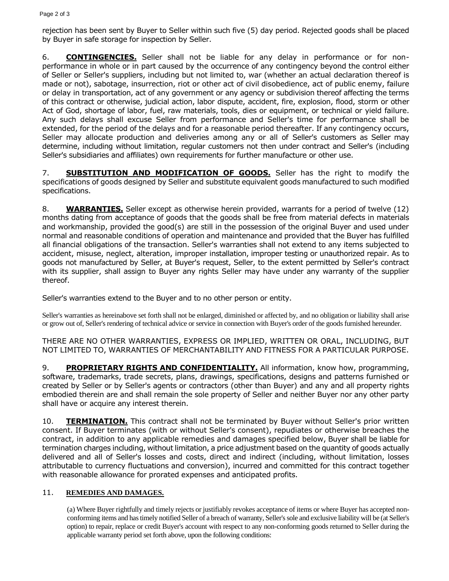rejection has been sent by Buyer to Seller within such five (5) day period. Rejected goods shall be placed by Buyer in safe storage for inspection by Seller.

6. **CONTINGENCIES.** Seller shall not be liable for any delay in performance or for nonperformance in whole or in part caused by the occurrence of any contingency beyond the control either of Seller or Seller's suppliers, including but not limited to, war (whether an actual declaration thereof is made or not), sabotage, insurrection, riot or other act of civil disobedience, act of public enemy, failure or delay in transportation, act of any government or any agency or subdivision thereof affecting the terms of this contract or otherwise, judicial action, labor dispute, accident, fire, explosion, flood, storm or other Act of God, shortage of labor, fuel, raw materials, tools, dies or equipment, or technical or yield failure. Any such delays shall excuse Seller from performance and Seller's time for performance shall be extended, for the period of the delays and for a reasonable period thereafter. If any contingency occurs, Seller may allocate production and deliveries among any or all of Seller's customers as Seller may determine, including without limitation, regular customers not then under contract and Seller's (including Seller's subsidiaries and affiliates) own requirements for further manufacture or other use.

7. **SUBSTITUTION AND MODIFICATION OF GOODS.** Seller has the right to modify the specifications of goods designed by Seller and substitute equivalent goods manufactured to such modified specifications.

8. **WARRANTIES.** Seller except as otherwise herein provided, warrants for a period of twelve (12) months dating from acceptance of goods that the goods shall be free from material defects in materials and workmanship, provided the good(s) are still in the possession of the original Buyer and used under normal and reasonable conditions of operation and maintenance and provided that the Buyer has fulfilled all financial obligations of the transaction. Seller's warranties shall not extend to any items subjected to accident, misuse, neglect, alteration, improper installation, improper testing or unauthorized repair. As to goods not manufactured by Seller, at Buyer's request, Seller, to the extent permitted by Seller's contract with its supplier, shall assign to Buyer any rights Seller may have under any warranty of the supplier thereof.

Seller's warranties extend to the Buyer and to no other person or entity.

Seller's warranties as hereinabove set forth shall not be enlarged, diminished or affected by, and no obligation or liability shall arise or grow out of, Seller's rendering of technical advice or service in connection with Buyer's order of the goods furnished hereunder.

THERE ARE NO OTHER WARRANTIES, EXPRESS OR IMPLIED, WRITTEN OR ORAL, INCLUDING, BUT NOT LIMITED TO, WARRANTIES OF MERCHANTABILITY AND FITNESS FOR A PARTICULAR PURPOSE.

9. **PROPRIETARY RIGHTS AND CONFIDENTIALITY.** All information, know how, programming, software, trademarks, trade secrets, plans, drawings, specifications, designs and patterns furnished or created by Seller or by Seller's agents or contractors (other than Buyer) and any and all property rights embodied therein are and shall remain the sole property of Seller and neither Buyer nor any other party shall have or acquire any interest therein.

10. **TERMINATION.** This contract shall not be terminated by Buyer without Seller's prior written consent. If Buyer terminates (with or without Seller's consent), repudiates or otherwise breaches the contract, in addition to any applicable remedies and damages specified below, Buyer shall be liable for termination charges including, without limitation, a price adjustment based on the quantity of goods actually delivered and all of Seller's losses and costs, direct and indirect (including, without limitation, losses attributable to currency fluctuations and conversion), incurred and committed for this contract together with reasonable allowance for prorated expenses and anticipated profits.

## 11. **REMEDIES AND DAMAGES.**

(a) Where Buyer rightfully and timely rejects or justifiably revokes acceptance of items or where Buyer has accepted nonconforming items and has timely notified Seller of a breach of warranty, Seller's sole and exclusive liability will be (at Seller's option) to repair, replace or credit Buyer's account with respect to any non-conforming goods returned to Seller during the applicable warranty period set forth above, upon the following conditions: